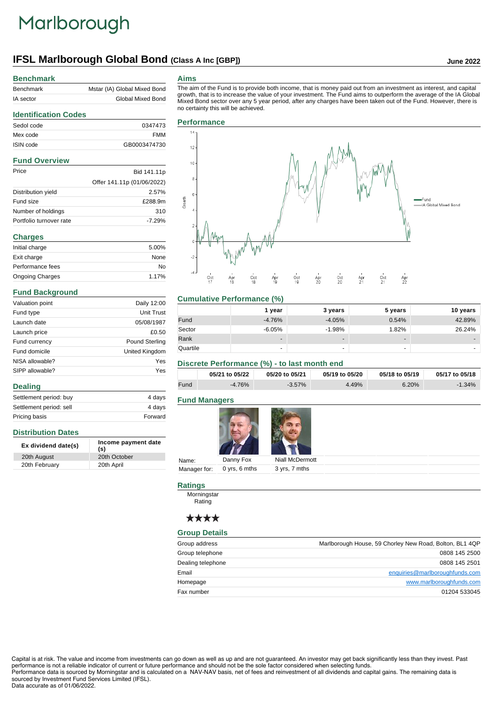# Marlborough

## **IFSL Marlborough Global Bond (Class A Inc [GBP]) June 2022**

#### **Benchmark**

**Identification Codes**

| Benchmark | Mstar (IA) Global Mixed Bond |
|-----------|------------------------------|
| IA sector | Global Mixed Bond            |

#### **Aims**

The aim of the Fund is to provide both income, that is money paid out from an investment as interest, and capital growth, that is to increase the value of your investment. The Fund aims to outperform the average of the IA Global Mixed Bond sector over any 5 year period, after any charges have been taken out of the Fund. However, there is no certainty this will be achieved.

### Sedol code 0347473 Mex code FMM ISIN code GB0003474730 **Fund Overview** Price Bid 141.11p Offer 141.11p (01/06/2022)

|                         | UIICI ITI.IID (UI/UU/ZUZZ) |
|-------------------------|----------------------------|
| Distribution yield      | 2.57%                      |
| Fund size               | £288.9m                    |
| Number of holdings      | 310                        |
| Portfolio turnover rate | $-7.29%$                   |

#### **Charges**

| Initial charge         | 5.00% |
|------------------------|-------|
| Exit charge            | None  |
| Performance fees       | No    |
| <b>Ongoing Charges</b> | 1.17% |

#### **Fund Background**

| Valuation point | Daily 12:00           |
|-----------------|-----------------------|
| Fund type       | Unit Trust            |
| Launch date     | 05/08/1987            |
| Launch price    | £0.50                 |
| Fund currency   | <b>Pound Sterling</b> |
| Fund domicile   | United Kingdom        |
| NISA allowable? | Yes                   |
| SIPP allowable? | Yes                   |
| <b>Dealing</b>  |                       |

| Settlement period: buy  | 4 days  |
|-------------------------|---------|
| Settlement period: sell | 4 davs  |
| Pricing basis           | Forward |

### **Distribution Dates**

| Ex dividend date(s) | Income payment date<br>(s) |
|---------------------|----------------------------|
| 20th August         | 20th October               |
| 20th February       | 20th April                 |

|        |                  | <b>Performance</b> |                           |                                |                           |                                         |                           |                               |                               |                                |                             |                        |
|--------|------------------|--------------------|---------------------------|--------------------------------|---------------------------|-----------------------------------------|---------------------------|-------------------------------|-------------------------------|--------------------------------|-----------------------------|------------------------|
|        | $14 -$           |                    |                           |                                |                           |                                         |                           |                               |                               |                                |                             |                        |
|        | 12 <sub>12</sub> |                    |                           |                                |                           |                                         |                           |                               |                               |                                |                             |                        |
|        | $10$             |                    |                           |                                |                           |                                         |                           |                               |                               |                                |                             |                        |
|        | 8                |                    |                           |                                |                           |                                         |                           |                               |                               |                                |                             |                        |
| Growth | $\mathbf 6$      |                    |                           |                                |                           |                                         |                           |                               |                               |                                |                             | -Fund                  |
|        | 4                |                    |                           |                                |                           |                                         |                           |                               |                               |                                |                             | - IA Global Mixed Bond |
|        | $\mathbf{2}$     |                    |                           |                                |                           |                                         |                           |                               |                               |                                |                             |                        |
|        | 0                |                    |                           |                                |                           |                                         |                           |                               |                               |                                |                             |                        |
|        | $^{\circ2}$      |                    |                           |                                |                           |                                         |                           |                               |                               |                                |                             |                        |
|        | ل ھ.             | $\frac{1}{17}$     | $\mathbf{r}$<br>Apr<br>18 | $\mathbf{u}$<br>$rac{Oct}{18}$ | $\mathbf{I}$<br>Apr<br>19 | $\blacksquare$<br>$rac{\text{Oct}}{19}$ | $\mathbf{L}$<br>Apr<br>20 | $\mathbf{u}$<br>$_{20}^{Oct}$ | $\mathbf{I}$<br>$^{Apr}_{21}$ | $\mathbf{I}$<br>$rac{Oct}{21}$ | $\blacksquare$<br>Apr<br>22 |                        |

### **Cumulative Performance (%)**

|          | 1 year                   | 3 years                  | 5 years | 10 years |
|----------|--------------------------|--------------------------|---------|----------|
| Fund     | $-4.76%$                 | $-4.05%$                 | 0.54%   | 42.89%   |
| Sector   | $-6.05%$                 | $-1.98%$                 | 1.82%   | 26.24%   |
| Rank     | $\overline{\phantom{a}}$ | $\overline{\phantom{0}}$ |         | -        |
| Quartile |                          |                          | ۰       |          |

### **Discrete Performance (%) - to last month end**

|      | 05/21 to 05/22 | 05/20 to 05/21 | 05/19 to 05/20 | 05/18 to 05/19 | 05/17 to 05/18 |
|------|----------------|----------------|----------------|----------------|----------------|
| Fund | $-4.76%$       | $-3.57\%$      | .49%           | 6.20%          | $-1.34\%$      |

#### **Fund Managers**



| _________                  |                 |
|----------------------------|-----------------|
| Danny Fox                  | Niall McDermott |
| Manager for: 0 yrs, 6 mths | 3 yrs, 7 mths   |
|                            |                 |

#### **Ratings**

Morningstar Rating

### \*\*\*\*

#### **Group Details**

| Group address     | Marlborough House, 59 Chorley New Road, Bolton, BL1 4QP |
|-------------------|---------------------------------------------------------|
| Group telephone   | 0808 145 2500                                           |
| Dealing telephone | 0808 145 2501                                           |
| Email             | enquiries@marlboroughfunds.com                          |
| Homepage          | www.marlboroughfunds.com                                |
| Fax number        | 01204 533045                                            |

Capital is at risk. The value and income from investments can go down as well as up and are not guaranteed. An investor may get back significantly less than they invest. Past performance is not a reliable indicator of current or future performance and should not be the sole factor considered when selecting funds. Performance data is sourced by Morningstar and is calculated on a NAV-NAV basis, net of fees and reinvestment of all dividends and capital gains. The remaining data is sourced by Investment Fund Services Limited (IFSL).

Data accurate as of 01/06/2022.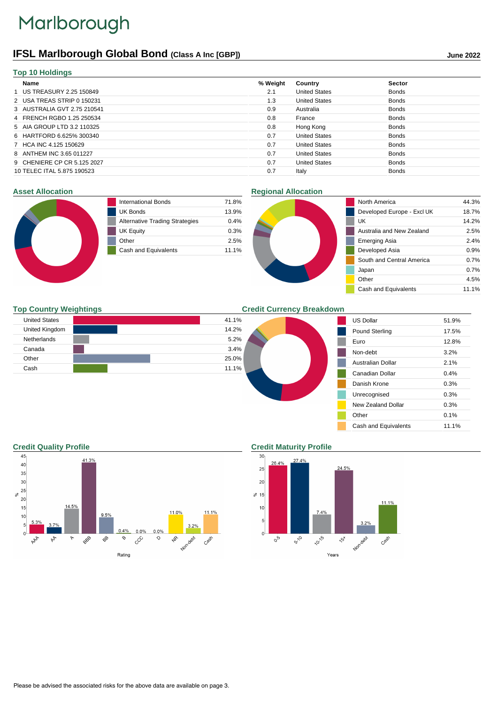# Marlborough

## **IFSL Marlborough Global Bond (Class A Inc [GBP]) June 2022**

| <b>Top 10 Holdings</b>      |          |                      |               |
|-----------------------------|----------|----------------------|---------------|
| Name                        | % Weight | Country              | <b>Sector</b> |
| 1 US TREASURY 2.25 150849   | 2.1      | <b>United States</b> | <b>Bonds</b>  |
| 2 USA TREAS STRIP 0 150231  | 1.3      | <b>United States</b> | <b>Bonds</b>  |
| 3 AUSTRALIA GVT 2.75 210541 | 0.9      | Australia            | <b>Bonds</b>  |
| 4 FRENCH RGBO 1.25 250534   | 0.8      | France               | <b>Bonds</b>  |
| 5 AIA GROUP LTD 3.2 110325  | 0.8      | Hong Kong            | <b>Bonds</b>  |
| 6 HARTFORD 6.625% 300340    | 0.7      | <b>United States</b> | <b>Bonds</b>  |
| 7 HCA INC 4.125 150629      | 0.7      | <b>United States</b> | <b>Bonds</b>  |
| 8 ANTHEM INC 3.65 011227    | 0.7      | <b>United States</b> | <b>Bonds</b>  |
| 9 CHENIERE CP CR 5.125 2027 | 0.7      | <b>United States</b> | <b>Bonds</b>  |
| 10 TELEC ITAL 5.875 190523  | 0.7      | Italy                | <b>Bonds</b>  |
|                             |          |                      |               |

#### **Asset Allocation**



| International Bonds                   | 71.8% |
|---------------------------------------|-------|
| <b>UK Bonds</b>                       | 13.9% |
| <b>Alternative Trading Strategies</b> | 0.4%  |
| <b>UK Equity</b>                      | 0.3%  |
| Other                                 | 2.5%  |
| Cash and Equivalents                  | 11.1% |

### **Regional Allocation**



### **Top Country Weightings**

| <b>United States</b> | 41.1% |
|----------------------|-------|
| United Kingdom       | 14.2% |
| <b>Netherlands</b>   | 5.2%  |
| Canada               | 3.4%  |
| Other                | 25.0% |
| Cash                 | 11.1% |

**Credit Currency Breakdown**

| <b>US Dollar</b>      | 51.9% |
|-----------------------|-------|
| <b>Pound Sterling</b> | 17.5% |
| Euro                  | 12.8% |
| Non-debt              | 3.2%  |
| Australian Dollar     | 2.1%  |
| Canadian Dollar       | 0.4%  |
| Danish Krone          | 0.3%  |
| Unrecognised          | 0.3%  |
| New Zealand Dollar    | 0.3%  |
| Other                 | 0.1%  |
| Cash and Equivalents  | 11.1% |